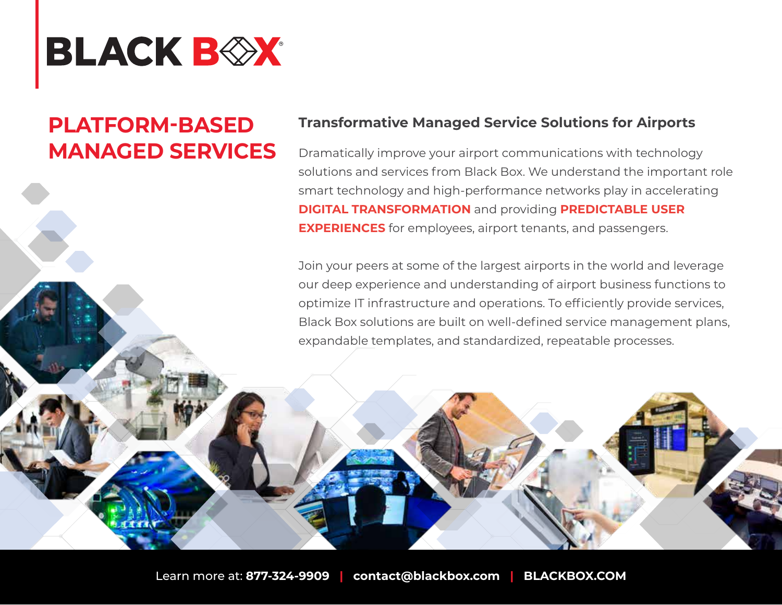

## **PLATFORM-BASED MANAGED SERVICES**

## **Transformative Managed Service Solutions for Airports**

Dramatically improve your airport communications with technology solutions and services from Black Box. We understand the important role smart technology and high-performance networks play in accelerating **DIGITAL TRANSFORMATION** and providing **PREDICTABLE USER EXPERIENCES** for employees, airport tenants, and passengers.

Join your peers at some of the largest airports in the world and leverage our deep experience and understanding of airport business functions to optimize IT infrastructure and operations. To efficiently provide services, Black Box solutions are built on well-defined service management plans, expandable templates, and standardized, repeatable processes.